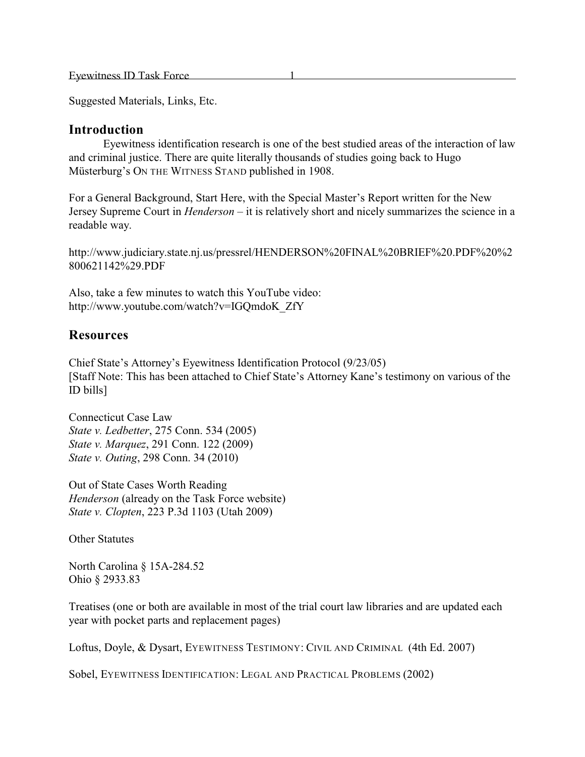Eyewitness ID Task Force

Suggested Materials, Links, Etc.

### **Introduction**

Eyewitness identification research is one of the best studied areas of the interaction of law and criminal justice. There are quite literally thousands of studies going back to Hugo Müsterburg's ON THE WITNESS STAND published in 1908.

For a General Background, Start Here, with the Special Master's Report written for the New Jersey Supreme Court in *Henderson* – it is relatively short and nicely summarizes the science in a readable way.

http://www.judiciary.state.nj.us/pressrel/HENDERSON%20FINAL%20BRIEF%20.PDF%20%2 800621142%29.PDF

Also, take a few minutes to watch this YouTube video: http://www.youtube.com/watch?v=IGQmdoK\_ZfY

# **Resources**

Chief State's Attorney's Eyewitness Identification Protocol (9/23/05) [Staff Note: This has been attached to Chief State's Attorney Kane's testimony on various of the ID bills]

Connecticut Case Law *State v. Ledbetter*, 275 Conn. 534 (2005) *State v. Marquez*, 291 Conn. 122 (2009) *State v. Outing*, 298 Conn. 34 (2010)

Out of State Cases Worth Reading *Henderson* (already on the Task Force website) *State v. Clopten*, 223 P.3d 1103 (Utah 2009)

Other Statutes

North Carolina § 15A-284.52 Ohio § 2933.83

Treatises (one or both are available in most of the trial court law libraries and are updated each year with pocket parts and replacement pages)

Loftus, Doyle, & Dysart, EYEWITNESS TESTIMONY: CIVIL AND CRIMINAL (4th Ed. 2007)

Sobel, EYEWITNESS IDENTIFICATION: LEGAL AND PRACTICAL PROBLEMS (2002)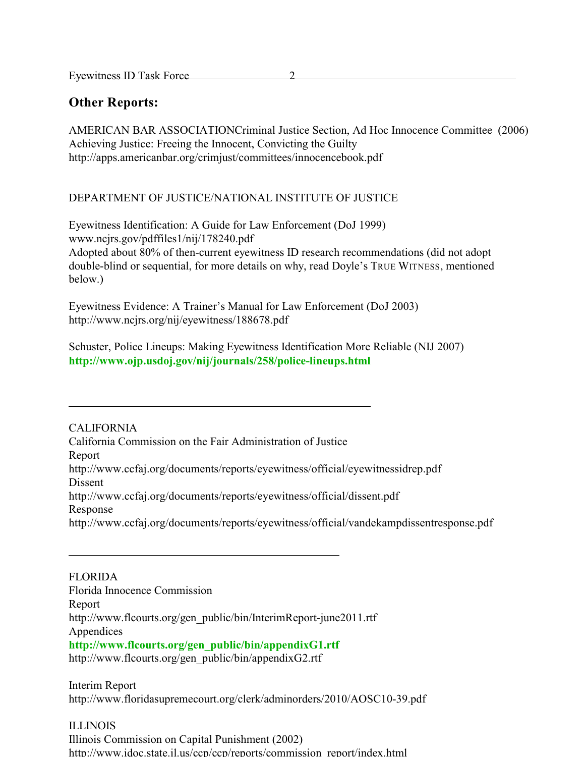## **Other Reports:**

AMERICAN BAR ASSOCIATIONCriminal Justice Section, Ad Hoc Innocence Committee (2006) Achieving Justice: Freeing the Innocent, Convicting the Guilty <http://apps.americanbar.org/crimjust/committees/innocencebook.pdf>

## DEPARTMENT OF JUSTICE/NATIONAL INSTITUTE OF JUSTICE

Eyewitness Identification: A Guide for Law Enforcement (DoJ 1999) www.ncjrs.gov/pdffiles1/nij/178240.pdf Adopted about 80% of then-current eyewitness ID research recommendations (did not adopt double-blind or sequential, for more details on why, read Doyle's TRUE WITNESS, mentioned below.)

Eyewitness Evidence: A Trainer's Manual for Law Enforcement (DoJ 2003) http://www.ncjrs.org/nij/eyewitness/188678.pdf

Schuster, Police Lineups: Making Eyewitness Identification More Reliable (NIJ 2007) **http://www.ojp.usdoj.gov/nij/journals/258/police-lineups.html**

CALIFORNIA California Commission on the Fair Administration of Justice Report http://[www.ccfaj.org/documents/reports/eyewitness/official/eyewitnessidrep.pdf](http://www.ccfaj.org/documents/reports/eyewitness/official/eyewitnessidrep.pdf) Dissent <http://www.ccfaj.org/documents/reports/eyewitness/official/dissent.pdf> Response [http://www.ccfaj.org/documents/reports/eyewitness/official/vandekampdiss](http://www.ccfaj.org/documents/reports/eyewitness/official/vandekampdissentresponse.pdf)entresponse.pdf

FLORIDA Florida Innocence Commission Report http://www.flcourts.org/gen\_public/bin/InterimReport-june2011.rtf Appendices **http://www.flcourts.org/gen\_public/bin/appendixG1.rtf** http://www.flcourts.org/gen\_public/bin/appendixG2.rtf

Interim Report http://www.floridasupremecourt.org/clerk/adminorders/2010/AOSC10-39.pdf

ILLINOIS Illinois Commission on Capital Punishment (2002) http://www.idoc.state.il.us/ccp/ccp/reports/commission\_report/index.html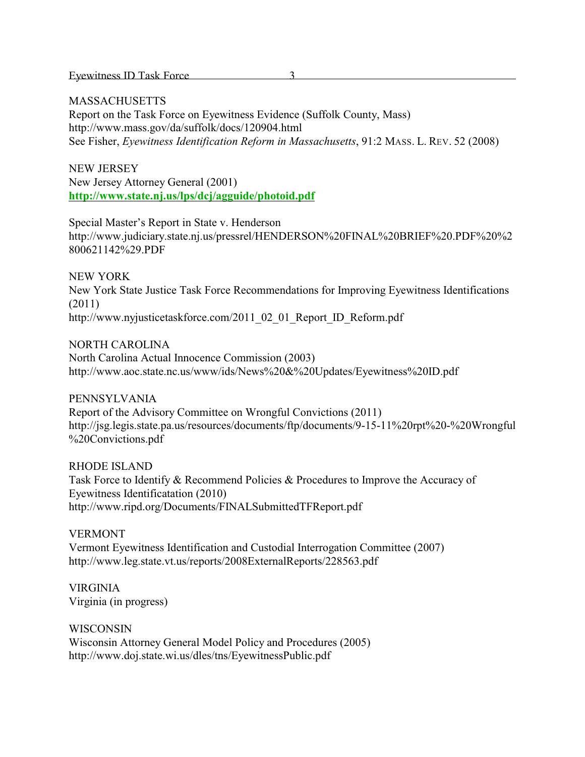Eyewitness ID Task Force 3

#### MASSACHUSETTS

Report on the Task Force on Eyewitness Evidence (Suffolk County, Mass) http://www.mass.gov/da/suffolk/docs/120904.html See Fisher, *Eyewitness Identification Reform in Massachusetts*, 91:2 MASS. L. REV. 52 (2008)

#### NEW JERSEY

New Jersey Attorney General (2001) **<http://www.state.nj.us/lps/dcj/agguide/photoid.pdf>**

Special Master's Report in State v. Henderson http://www.judiciary.state.nj.us/pressrel/HENDERSON%20FINAL%20BRIEF%20.PDF%20%2 800621142%29.PDF

NEW YORK New York State Justice Task Force Recommendations for Improving Eyewitness Identifications (2011) http://www.nyjusticetaskforce.com/2011\_02\_01\_Report\_ID\_Reform.pdf

NORTH CAROLINA North Carolina Actual Innocence Commission (2003) http://www.aoc.state.nc.us/www/ids/News%20&%20Updates/Eyewitness%20ID.pdf

PENNSYLVANIA Report of the Advisory Committee on Wrongful Convictions (2011) http://jsg.legis.state.pa.us/resources/documents/ftp/documents/9-15-11%20rpt%20-%20Wrongful %20Convictions.pdf

RHODE ISLAND Task Force to Identify & Recommend Policies & Procedures to Improve the Accuracy of Eyewitness Identificatation (2010) http://www.ripd.org/Documents/FINALSubmittedTFReport.pdf

VERMONT Vermont Eyewitness Identification and Custodial Interrogation Committee (2007) http://www.leg.state.vt.us/reports/2008ExternalReports/228563.pdf

VIRGINIA Virginia (in progress)

**WISCONSIN** Wisconsin Attorney General Model Policy and Procedures (2005) http://www.doj.state.wi.us/dles/tns/EyewitnessPublic.pdf